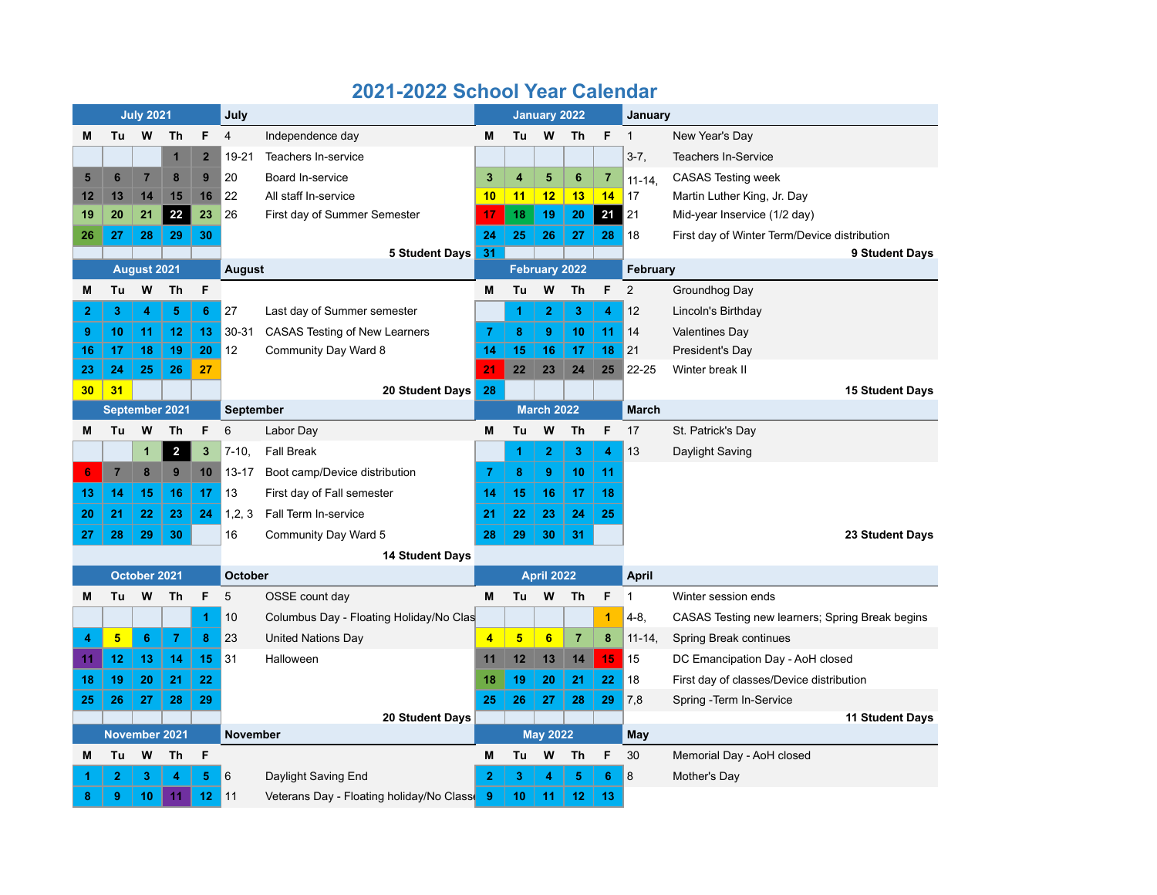|                | <b>July 2021</b> |                        |                         |                         |                | July                                     |                   | <b>January 2022</b> |                   |                |                |                | January                                         |  |
|----------------|------------------|------------------------|-------------------------|-------------------------|----------------|------------------------------------------|-------------------|---------------------|-------------------|----------------|----------------|----------------|-------------------------------------------------|--|
| M              | Tu               | W                      | Th                      | F                       | $\overline{4}$ | Independence day                         | М                 | Tu                  | W                 | Th             | F              | $\mathbf{1}$   | New Year's Day                                  |  |
|                |                  |                        | $\mathbf{1}$            | $\overline{2}$          | 19-21          | Teachers In-service                      |                   |                     |                   |                |                | $3-7,$         | <b>Teachers In-Service</b>                      |  |
| 5              | 6                | $\overline{7}$         | 8                       | 9                       | 20             | Board In-service                         | 3                 | 4                   | 5                 | 6              | $\overline{7}$ | $11 - 14$      | <b>CASAS Testing week</b>                       |  |
| 12             | 13               | 14                     | 15                      | 16                      | 22             | All staff In-service                     | 10                | 11                  | 12                | 13             | 14             | 17             | Martin Luther King, Jr. Day                     |  |
| 19             | 20               | 21                     | 22                      | 23                      | 26             | First day of Summer Semester             | 17                | 18                  | 19                | 20             | 21             | 21             | Mid-year Inservice (1/2 day)                    |  |
| 26             | 27               | 28                     | 29                      | 30                      |                |                                          | 24                | 25                  | 26                | 27             | 28             | 18             | First day of Winter Term/Device distribution    |  |
|                |                  |                        |                         |                         |                | <b>5 Student Days</b>                    | 31                |                     |                   |                |                |                | 9 Student Days                                  |  |
|                | August 2021      |                        | August                  |                         |                | February 2022                            |                   |                     |                   | February       |                |                |                                                 |  |
| М              | Tu               | W                      | Th                      | F                       |                |                                          | М                 | Tu                  | W                 | <b>Th</b>      | F              | $\overline{2}$ | Groundhog Day                                   |  |
| $\overline{2}$ | 3                | 4                      | 5                       | 6                       | 27             | Last day of Summer semester              |                   | 1                   | $\overline{2}$    | 3              | 4              | 12             | Lincoln's Birthday                              |  |
| 9              | 10               | 11                     | 12                      | 13                      | $30 - 31$      | <b>CASAS Testing of New Learners</b>     | $\overline{7}$    | 8                   | 9                 | 10             | 11             | 14             | <b>Valentines Day</b>                           |  |
| 16             | 17               | 18                     | 19                      | 20                      | 12             | Community Day Ward 8                     | 14                | 15                  | 16                | 17             | 18             | 21             | President's Day                                 |  |
| 23             | 24               | 25                     | 26                      | 27                      |                |                                          | 21                | 22                  | 23                | 24             | 25             | $22 - 25$      | Winter break II                                 |  |
| 30             | 31               |                        |                         |                         |                | 20 Student Days                          | 28                |                     |                   |                |                |                | <b>15 Student Days</b>                          |  |
|                |                  |                        | September 2021          |                         | September      |                                          |                   |                     | <b>March 2022</b> |                |                | <b>March</b>   |                                                 |  |
| M              | Tu               | W                      | <b>Th</b>               | F                       | 6              | Labor Day                                | M                 | Tu                  | W                 | <b>Th</b>      | F              | 17             | St. Patrick's Day                               |  |
|                |                  | $\mathbf{1}$           | $\overline{\mathbf{2}}$ | $\overline{\mathbf{3}}$ | $7 - 10.$      | <b>Fall Break</b>                        |                   | 1                   | $\overline{2}$    | 3              | 4              | 13             | Daylight Saving                                 |  |
| 6              | $\overline{7}$   | 8                      | 9                       | 10                      | $13 - 17$      | Boot camp/Device distribution            | $\overline{7}$    | 8                   | 9                 | 10             | 11             |                |                                                 |  |
| 13             | 14               | 15                     | 16                      | 17                      | 13             | First day of Fall semester               | 14                | 15                  | 16                | 17             | 18             |                |                                                 |  |
| 20             | 21               | 22                     | 23                      | 24                      | 1, 2, 3        | Fall Term In-service                     | 21                | 22                  | 23                | 24             | 25             |                |                                                 |  |
| 27             | 28               | 29                     | 30                      |                         | 16             | Community Day Ward 5                     | 28                | 29                  | 30                | 31             |                |                | 23 Student Days                                 |  |
|                |                  | <b>14 Student Days</b> |                         |                         |                |                                          |                   |                     |                   |                |                |                |                                                 |  |
|                |                  | October 2021           |                         | <b>October</b>          |                |                                          | <b>April 2022</b> |                     |                   |                | <b>April</b>   |                |                                                 |  |
| M              | Tu               | W                      | Th                      | F                       | 5              | OSSE count day                           | M                 | Tu                  | w                 | Th             | F              | $\mathbf{1}$   | Winter session ends                             |  |
|                |                  |                        |                         | 1                       | 10             | Columbus Day - Floating Holiday/No Clas  |                   |                     |                   |                | 1              | $4 - 8$        | CASAS Testing new learners; Spring Break begins |  |
| 4              | 5                | 6                      | 7                       | 8                       | 23             | <b>United Nations Day</b>                | $\overline{4}$    | $5\phantom{1}$      | $6\phantom{a}$    | $\overline{7}$ | 8              | $11 - 14$      | Spring Break continues                          |  |
| 11             | 12               | 13                     | 14                      | 15                      | 31             | Halloween                                | 11                | 12                  | 13                | 14             | 15             | 15             | DC Emancipation Day - AoH closed                |  |
| 18             | 19               | 20                     | 21                      | 22                      |                |                                          | 18                | 19                  | 20                | 21             | 22             | 18             | First day of classes/Device distribution        |  |
| 25             | 26               | 27                     | 28                      | 29                      |                |                                          | 25                | 26                  | 27                | 28             | 29             | 7,8            | Spring - Term In-Service                        |  |
|                |                  |                        |                         |                         |                | <b>20 Student Days</b>                   |                   |                     |                   |                |                |                | <b>11 Student Days</b>                          |  |
|                | November 2021    |                        |                         |                         | November       |                                          |                   | <b>May 2022</b>     |                   |                |                | May            |                                                 |  |
| M              | Tu               | W                      | Th                      | F                       |                |                                          | M                 | Tu                  | W                 | Th             | F              | 30             | Memorial Day - AoH closed                       |  |
|                | 2                | 3                      | 4                       | 5                       | 6              | Daylight Saving End                      | 2                 | 3                   | 4                 | 5              | 6              | 8              | Mother's Day                                    |  |
| 8              | 9                | 10                     | 11                      | 12                      | $\vert$ 11     | Veterans Day - Floating holiday/No Class | -9                | 10                  | 11                | 12             | 13             |                |                                                 |  |

## **2021-2022 School Year Calendar**